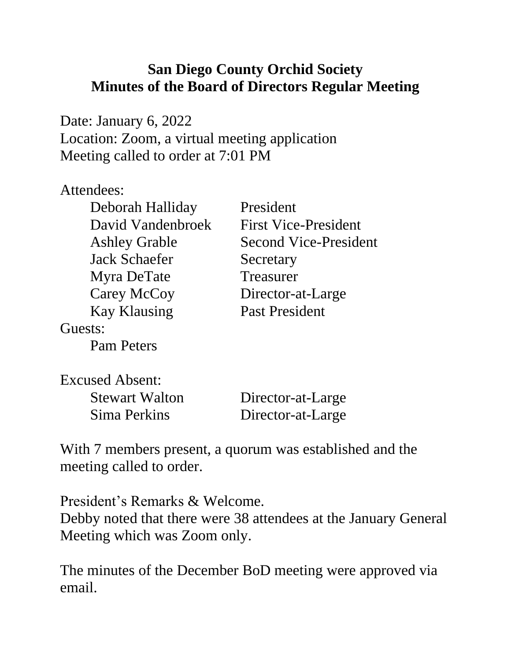## **San Diego County Orchid Society Minutes of the Board of Directors Regular Meeting**

Date: January 6, 2022 Location: Zoom, a virtual meeting application Meeting called to order at 7:01 PM

## Attendees:

| Deborah Halliday     | President                    |
|----------------------|------------------------------|
| David Vandenbroek    | <b>First Vice-President</b>  |
| <b>Ashley Grable</b> | <b>Second Vice-President</b> |
| <b>Jack Schaefer</b> | Secretary                    |
| Myra DeTate          | Treasurer                    |
| Carey McCoy          | Director-at-Large            |
| <b>Kay Klausing</b>  | <b>Past President</b>        |
| Guests:              |                              |
| <b>Pam Peters</b>    |                              |

| Excused Absent:       |                   |
|-----------------------|-------------------|
| <b>Stewart Walton</b> | Director-at-Large |
| Sima Perkins          | Director-at-Large |

With 7 members present, a quorum was established and the meeting called to order.

President's Remarks & Welcome. Debby noted that there were 38 attendees at the January General Meeting which was Zoom only.

The minutes of the December BoD meeting were approved via email.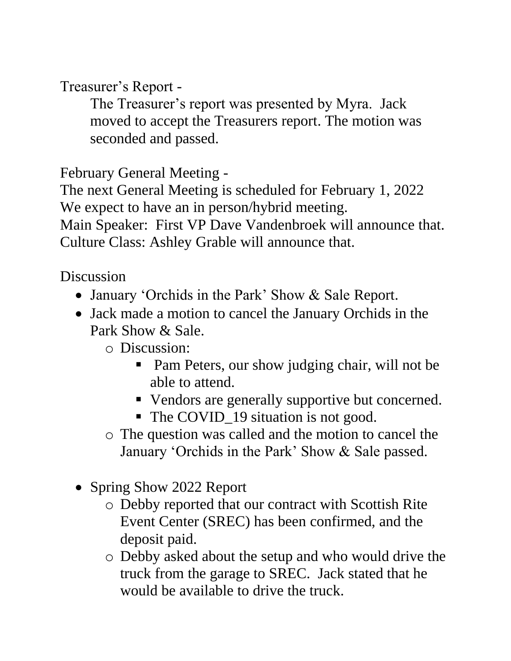Treasurer's Report -

The Treasurer's report was presented by Myra. Jack moved to accept the Treasurers report. The motion was seconded and passed.

February General Meeting -

The next General Meeting is scheduled for February 1, 2022 We expect to have an in person/hybrid meeting.

Main Speaker: First VP Dave Vandenbroek will announce that. Culture Class: Ashley Grable will announce that.

Discussion

- January 'Orchids in the Park' Show & Sale Report.
- Jack made a motion to cancel the January Orchids in the Park Show & Sale.

o Discussion:

- Pam Peters, our show judging chair, will not be able to attend.
- Vendors are generally supportive but concerned.
- The COVID<sub>19</sub> situation is not good.
- o The question was called and the motion to cancel the January 'Orchids in the Park' Show & Sale passed.
- Spring Show 2022 Report
	- o Debby reported that our contract with Scottish Rite Event Center (SREC) has been confirmed, and the deposit paid.
	- o Debby asked about the setup and who would drive the truck from the garage to SREC. Jack stated that he would be available to drive the truck.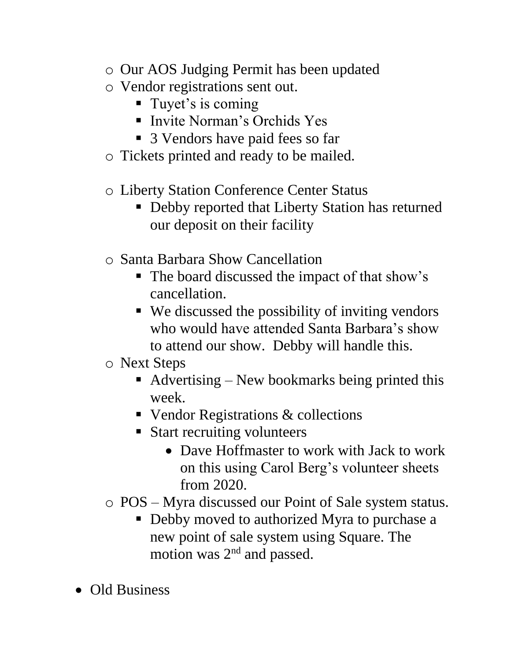- o Our AOS Judging Permit has been updated
- o Vendor registrations sent out.
	- Tuyet's is coming
	- Invite Norman's Orchids Yes
	- 3 Vendors have paid fees so far
- o Tickets printed and ready to be mailed.
- o Liberty Station Conference Center Status
	- Debby reported that Liberty Station has returned our deposit on their facility
- o Santa Barbara Show Cancellation
	- The board discussed the impact of that show's cancellation.
	- We discussed the possibility of inviting vendors who would have attended Santa Barbara's show to attend our show. Debby will handle this.
- o Next Steps
	- $\blacksquare$  Advertising New bookmarks being printed this week.
	- Vendor Registrations & collections
	- Start recruiting volunteers
		- Dave Hoffmaster to work with Jack to work on this using Carol Berg's volunteer sheets from 2020.
- o POS Myra discussed our Point of Sale system status.
	- Debby moved to authorized Myra to purchase a new point of sale system using Square. The motion was 2<sup>nd</sup> and passed.
- Old Business